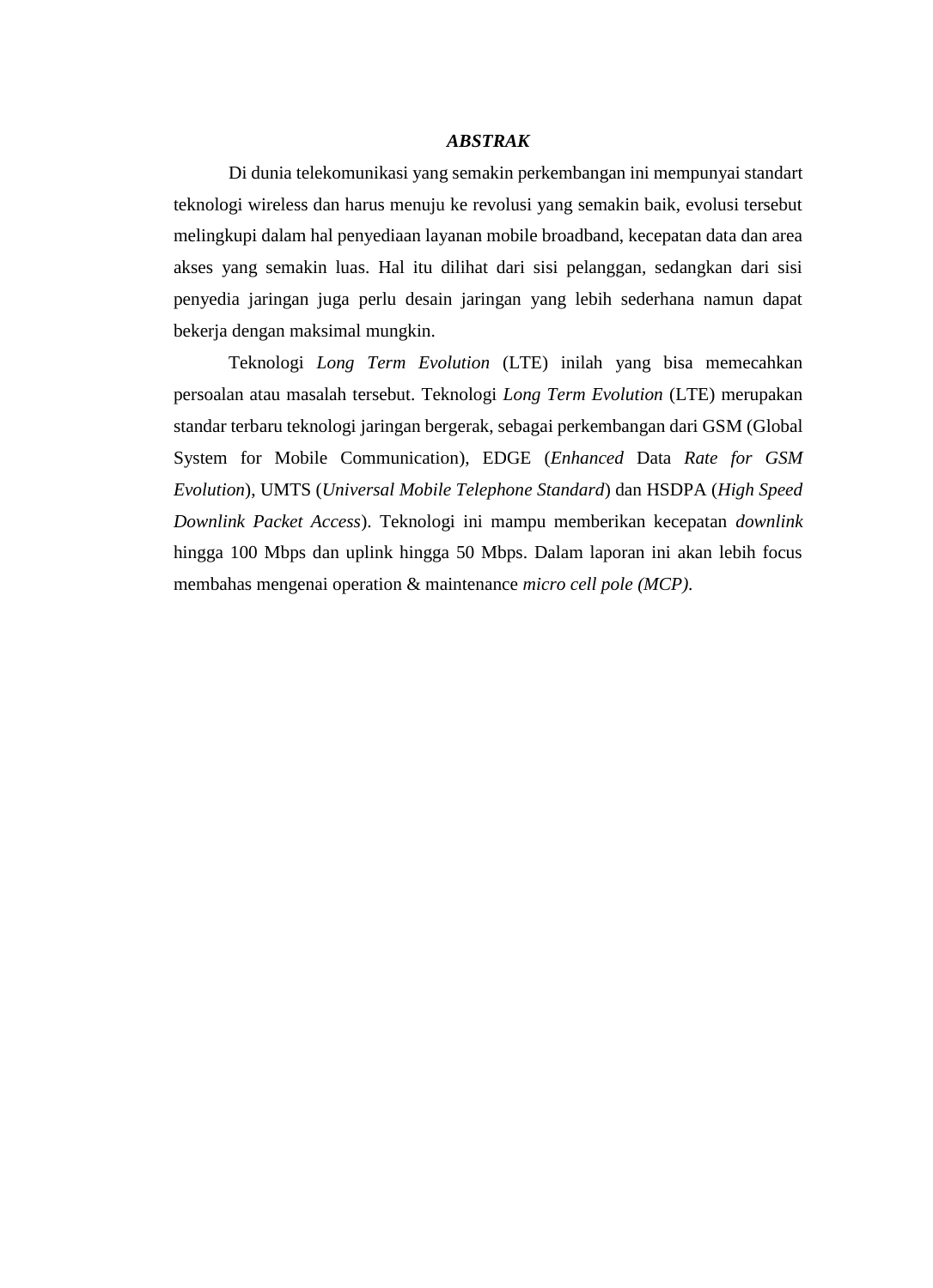## *ABSTRAK*

Di dunia telekomunikasi yang semakin perkembangan ini mempunyai standart teknologi wireless dan harus menuju ke revolusi yang semakin baik, evolusi tersebut melingkupi dalam hal penyediaan layanan mobile broadband, kecepatan data dan area akses yang semakin luas. Hal itu dilihat dari sisi pelanggan, sedangkan dari sisi penyedia jaringan juga perlu desain jaringan yang lebih sederhana namun dapat bekerja dengan maksimal mungkin.

 Teknologi *Long Term Evolution* (LTE) inilah yang bisa memecahkan persoalan atau masalah tersebut. Teknologi *Long Term Evolution* (LTE) merupakan standar terbaru teknologi jaringan bergerak, sebagai perkembangan dari GSM (Global System for Mobile Communication), EDGE (*Enhanced* Data *Rate for GSM Evolution*), UMTS (*Universal Mobile Telephone Standard*) dan HSDPA (*High Speed Downlink Packet Access*). Teknologi ini mampu memberikan kecepatan *downlink*  hingga 100 Mbps dan uplink hingga 50 Mbps. Dalam laporan ini akan lebih focus membahas mengenai operation & maintenance *micro cell pole (MCP).*